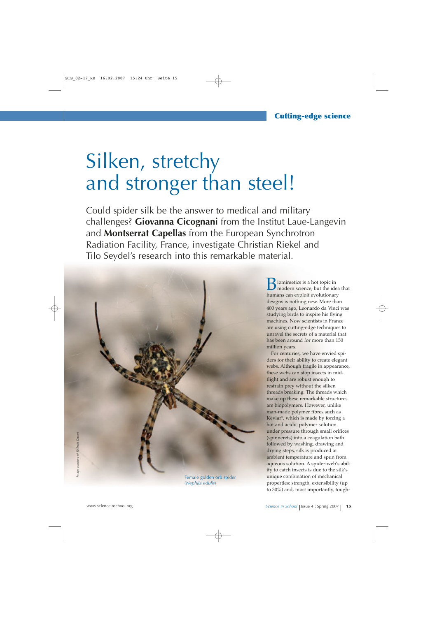# Silken, stretchy and stronger than steel!

Could spider silk be the answer to medical and military challenges? **Giovanna Cicognani** from the Institut Laue-Langevin and **Montserrat Capellas** from the European Synchrotron Radiation Facility, France, investigate Christian Riekel and Tilo Seydel's research into this remarkable material.



(*Nephila edulis*)

iomimetics is a hot topic in modern science, but the idea that humans can exploit evolutionary designs is nothing new. More than 400 years ago, Leonardo da Vinci was studying birds to inspire his flying machines. Now scientists in France are using cutting-edge techniques to unravel the secrets of a material that has been around for more than 150 million years.

For centuries, we have envied spiders for their ability to create elegant webs. Although fragile in appearance, these webs can stop insects in midflight and are robust enough to restrain prey without the silken threads breaking. The threads which make up these remarkable structures are biopolymers. However, unlike man-made polymer fibres such as Kevlar®, which is made by forcing a hot and acidic polymer solution under pressure through small orifices (spinnerets) into a coagulation bath followed by washing, drawing and drying steps, silk is produced at ambient temperature and spun from aqueous solution. A spider-web's ability to catch insects is due to the silk's unique combination of mechanical properties: strength, extensibility (up to 30%) and, most importantly, tough-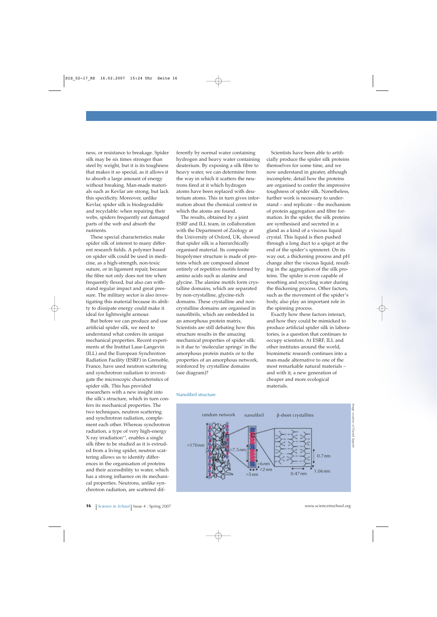ness, or resistance to breakage. Spider silk may be six times stronger than steel by weight, but it is its toughness that makes it so special, as it allows it to absorb a large amount of energy without breaking. Man-made materials such as Kevlar are strong, but lack this specificity. Moreover, unlike Kevlar, spider silk is biodegradable and recyclable: when repairing their webs, spiders frequently eat damaged parts of the web and absorb the nutrients.

These special characteristics make spider silk of interest to many different research fields. A polymer based on spider silk could be used in medicine, as a high-strength, non-toxic suture, or in ligament repair, because the fibre not only does not tire when frequently flexed, but also can withstand regular impact and great pressure. The military sector is also investigating this material because its ability to dissipate energy could make it ideal for lightweight armour.

But before we can produce and use artificial spider silk, we need to understand what confers its unique mechanical properties. Recent experiments at the Institut Laue-Langevin (ILL) and the European Synchrotron Radiation Facility (ESRF) in Grenoble, France, have used neutron scattering and synchrotron radiation to investigate the microscopic characteristics of spider silk. This has provided researchers with a new insight into the silk's structure, which in turn confers its mechanical properties. The two techniques, neutron scattering and synchrotron radiation, complement each other. Whereas synchrotron radiation, a type of very high-energy  $X$ -ray irradiation<sup>w1</sup>, enables a single silk fibre to be studied as it is extruded from a living spider, neutron scattering allows us to identify differences in the organisation of proteins and their accessibility to water, which has a strong influence on its mechanical properties. Neutrons, unlike synchrotron radiation, are scattered dif-

ferently by normal water containing hydrogen and heavy water containing deuterium. By exposing a silk fibre to heavy water, we can determine from the way in which it scatters the neutrons fired at it which hydrogen atoms have been replaced with deuterium atoms. This in turn gives information about the chemical context in which the atoms are found.

The results, obtained by a joint ESRF and ILL team, in collaboration with the Department of Zoology at the University of Oxford, UK, showed that spider silk is a hierarchically organised material. Its composite biopolymer structure is made of proteins which are composed almost entirely of repetitive motifs formed by amino acids such as alanine and glycine. The alanine motifs form crystalline domains, which are separated by non-crystalline, glycine-rich domains. These crystalline and noncrystalline domains are organised in nanofibrils, which are embedded in an amorphous protein matrix. Scientists are still debating how this structure results in the amazing mechanical properties of spider silk: is it due to 'molecular springs' in the amorphous protein matrix or to the properties of an amorphous network, reinforced by crystalline domains (see diagram)?

Scientists have been able to artificially produce the spider silk proteins themselves for some time, and we now understand in greater, although incomplete, detail how the proteins are organised to confer the impressive toughness of spider silk. Nonetheless, further work is necessary to understand – and replicate – the mechanism of protein aggregation and fibre formation. In the spider, the silk proteins are synthesised and secreted in a gland as a kind of a viscous liquid crystal. This liquid is then pushed through a long duct to a spigot at the end of the spider's spinneret. On its way out, a thickening process and pH change alter the viscous liquid, resulting in the aggregation of the silk proteins. The spider is even capable of resorbing and recycling water during the thickening process. Other factors, such as the movement of the spider's body, also play an important role in the spinning process.

Exactly how these factors interact, and how they could be mimicked to produce artificial spider silk in laboratories, is a question that continues to occupy scientists. At ESRF, ILL and other institutes around the world, biomimetic research continues into a man-made alternative to one of the most remarkable natural materials – and with it, a new generation of cheaper and more ecological materials.



#### Nanofibril structure